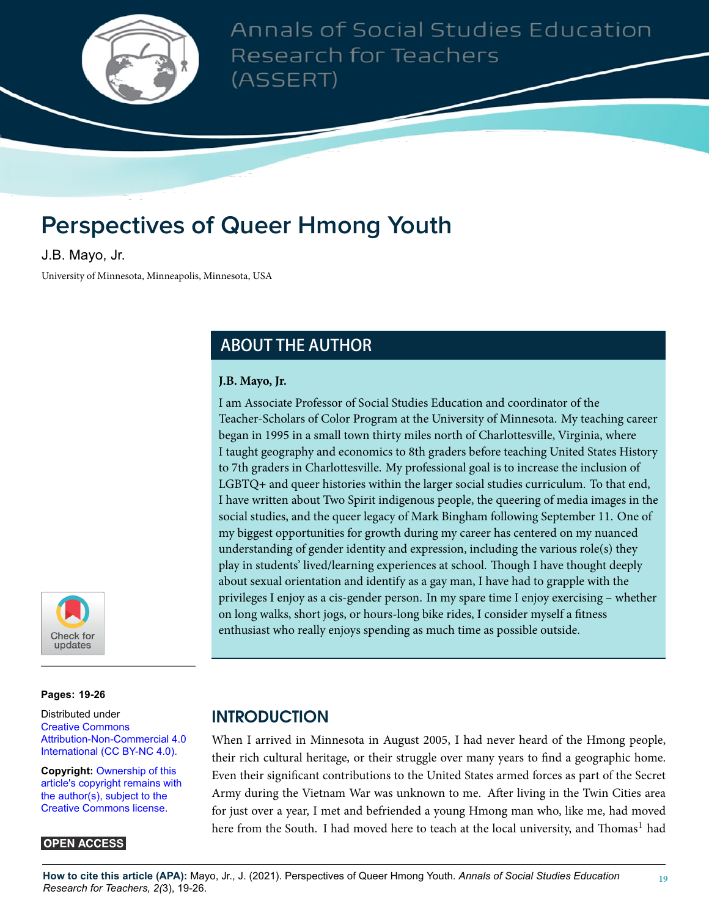

Annals of Social Studies Education Research for Teachers (ASSERT)

# **Perspectives of Queer Hmong Youth**

J.B. Mayo, Jr.

University of Minnesota, Minneapolis, Minnesota, USA

# **ABOUT THE AUTHOR**

#### **J.B. Mayo, Jr.**

I am Associate Professor of Social Studies Education and coordinator of the Teacher-Scholars of Color Program at the University of Minnesota. My teaching career began in 1995 in a small town thirty miles north of Charlottesville, Virginia, where I taught geography and economics to 8th graders before teaching United States History to 7th graders in Charlottesville. My professional goal is to increase the inclusion of LGBTQ+ and queer histories within the larger social studies curriculum. To that end, I have written about Two Spirit indigenous people, the queering of media images in the social studies, and the queer legacy of Mark Bingham following September 11. One of my biggest opportunities for growth during my career has centered on my nuanced understanding of gender identity and expression, including the various role(s) they play in students' lived/learning experiences at school. Though I have thought deeply about sexual orientation and identify as a gay man, I have had to grapple with the privileges I enjoy as a cis-gender person. In my spare time I enjoy exercising – whether on long walks, short jogs, or hours-long bike rides, I consider myself a fitness enthusiast who really enjoys spending as much time as possible outside.



**Pages: 19[-26](#page-7-0)**

Distributed under [Creative Commons](https://creativecommons.org/licenses/by-nc/4.0/) [Attribution-Non-Commercial 4.0](https://creativecommons.org/licenses/by-nc/4.0/) [International \(CC BY-NC 4.0\).](https://creativecommons.org/licenses/by-nc/4.0/)

**Copyright:** [Ownership of this](https://creativecommons.org/licenses/) [article's copyright remains with](https://creativecommons.org/licenses/) [the author\(s\), subject to the](https://creativecommons.org/licenses/) [Creative Commons license.](https://creativecommons.org/licenses/)

#### **OPEN ACCESS**

# **INTRODUCTION**

When I arrived in Minnesota in August 2005, I had never heard of the Hmong people, their rich cultural heritage, or their struggle over many years to find a geographic home. Even their significant contributions to the United States armed forces as part of the Secret Army during the Vietnam War was unknown to me. After living in the Twin Cities area for just over a year, I met and befriended a young Hmong man who, like me, had moved here from the South. I had moved here to teach at the local university, and Thomas<sup>1</sup> had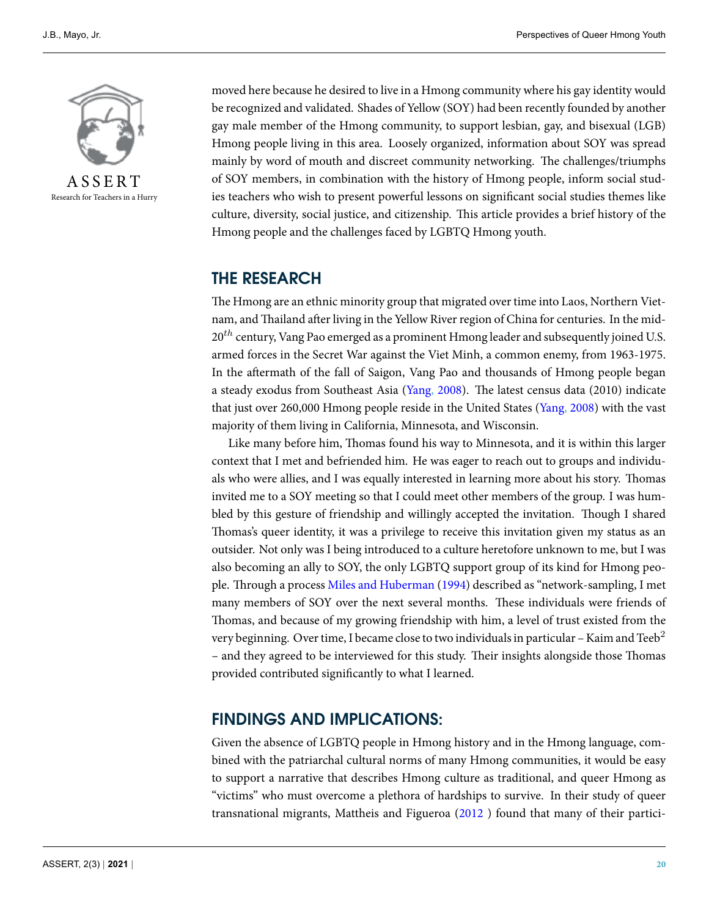

Research for Teachers in a Hurry

moved here because he desired to live in a Hmong community where his gay identity would be recognized and validated. Shades of Yellow (SOY) had been recently founded by another gay male member of the Hmong community, to support lesbian, gay, and bisexual (LGB) Hmong people living in this area. Loosely organized, information about SOY was spread mainly by word of mouth and discreet community networking. The challenges/triumphs of SOY members, in combination with the history of Hmong people, inform social studies teachers who wish to present powerful lessons on significant social studies themes like culture, diversity, social justice, and citizenship. This article provides a brief history of the Hmong people and the challenges faced by LGBTQ Hmong youth.

## **THE RESEARCH**

The Hmong are an ethnic minority group that migrated over time into Laos, Northern Vietnam, and Thailand after living in the Yellow River region of China for centuries. In the mid-20<sup>th</sup> century, Vang Pao emerged as a prominent Hmong leader and subsequently joined U.S. armed forces in the Secret War against the Viet Minh, a common enemy, from 1963-1975. In the aftermath of the fall of Saigon, Vang Pao and thousands of Hmong people began a steady exodus from Southeast Asia [\(Yang](#page-7-1), [2008\)](#page-7-1). The latest census data (2010) indicate that just over 260,000 Hmong people reside in the United States [\(Yang](#page-7-1), [2008](#page-7-1)) with the vast majority of them living in California, Minnesota, and Wisconsin.

Like many before him, Thomas found his way to Minnesota, and it is within this larger context that I met and befriended him. He was eager to reach out to groups and individuals who were allies, and I was equally interested in learning more about his story. Thomas invited me to a SOY meeting so that I could meet other members of the group. I was humbled by this gesture of friendship and willingly accepted the invitation. Though I shared Thomas's queer identity, it was a privilege to receive this invitation given my status as an outsider. Not only was I being introduced to a culture heretofore unknown to me, but I was also becoming an ally to SOY, the only LGBTQ support group of its kind for Hmong people. Through a process [Miles and Huberman](#page-7-2) [\(1994](#page-7-2)) described as "network-sampling, I met many members of SOY over the next several months. These individuals were friends of Thomas, and because of my growing friendship with him, a level of trust existed from the very beginning. Over time, I became close to two individuals in particular – Kaim and Teeb<sup>2</sup> – and they agreed to be interviewed for this study. Their insights alongside those Thomas provided contributed significantly to what I learned.

# **FINDINGS AND IMPLICATIONS:**

Given the absence of LGBTQ people in Hmong history and in the Hmong language, combined with the patriarchal cultural norms of many Hmong communities, it would be easy to support a narrative that describes Hmong culture as traditional, and queer Hmong as "victims" who must overcome a plethora of hardships to survive. In their study of queer transnational migrants, Mattheis and Figueroa([2012](#page-7-3) ) found that many of their partici-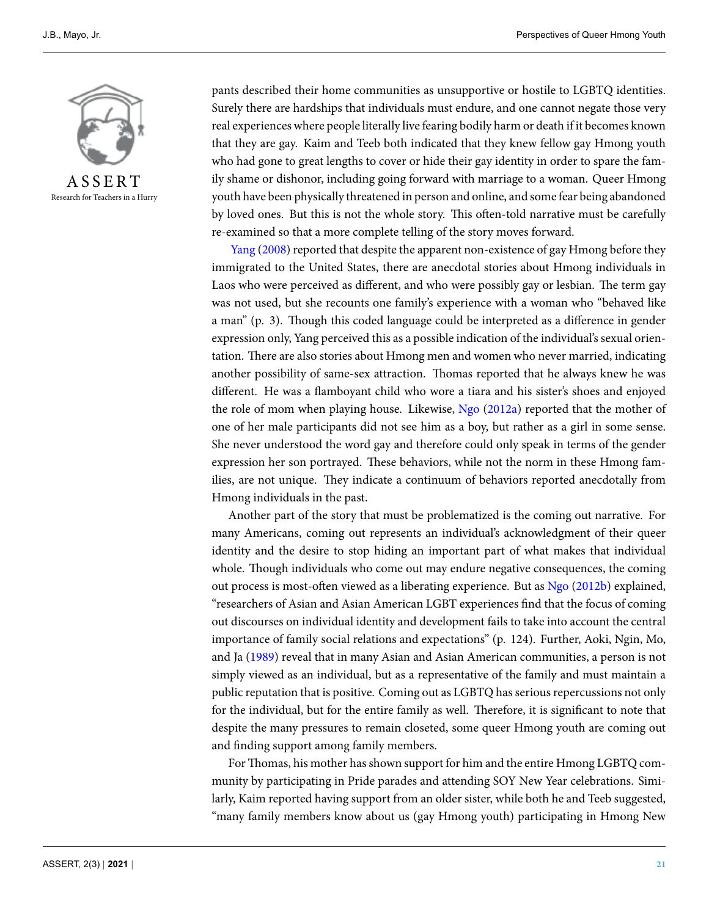

Research for Teachers in a Hurry

pants described their home communities as unsupportive or hostile to LGBTQ identities. Surely there are hardships that individuals must endure, and one cannot negate those very real experiences where people literally live fearing bodily harm or death if it becomes known that they are gay. Kaim and Teeb both indicated that they knew fellow gay Hmong youth who had gone to great lengths to cover or hide their gay identity in order to spare the family shame or dishonor, including going forward with marriage to a woman. Queer Hmong youth have been physically threatened in person and online, and some fear being abandoned by loved ones. But this is not the whole story. This often-told narrative must be carefully re-examined so that a more complete telling of the story moves forward.

[Yang](#page-7-1) [\(2008](#page-7-1)) reported that despite the apparent non-existence of gay Hmong before they immigrated to the United States, there are anecdotal stories about Hmong individuals in Laos who were perceived as different, and who were possibly gay or lesbian. The term gay was not used, but she recounts one family's experience with a woman who "behaved like a man" (p. 3). Though this coded language could be interpreted as a difference in gender expression only, Yang perceived this as a possible indication of the individual's sexual orientation. There are also stories about Hmong men and women who never married, indicating another possibility of same-sex attraction. Thomas reported that he always knew he was different. He was a flamboyant child who wore a tiara and his sister's shoes and enjoyed the role of mom when playing house. Likewise, [Ngo](#page-7-4) [\(2012a\)](#page-7-4) reported that the mother of one of her male participants did not see him as a boy, but rather as a girl in some sense. She never understood the word gay and therefore could only speak in terms of the gender expression her son portrayed. These behaviors, while not the norm in these Hmong families, are not unique. They indicate a continuum of behaviors reported anecdotally from Hmong individuals in the past.

Another part of the story that must be problematized is the coming out narrative. For many Americans, coming out represents an individual's acknowledgment of their queer identity and the desire to stop hiding an important part of what makes that individual whole. Though individuals who come out may endure negative consequences, the coming out process is most-often viewed as a liberating experience. But as [Ngo](#page-7-5) ([2012b](#page-7-5)) explained, "researchers of Asian and Asian American LGBT experiences find that the focus of coming out discourses on individual identity and development fails to take into account the central importance of family social relations and expectations" (p. 124). Further, Aoki, Ngin, Mo, and Ja [\(1989](#page-7-6)) reveal that in many Asian and Asian American communities, a person is not simply viewed as an individual, but as a representative of the family and must maintain a public reputation that is positive. Coming out as LGBTQ has serious repercussions not only for the individual, but for the entire family as well. Therefore, it is significant to note that despite the many pressures to remain closeted, some queer Hmong youth are coming out and finding support among family members.

ForThomas, his mother has shown support for him and the entire Hmong LGBTQ community by participating in Pride parades and attending SOY New Year celebrations. Similarly, Kaim reported having support from an older sister, while both he and Teeb suggested, "many family members know about us (gay Hmong youth) participating in Hmong New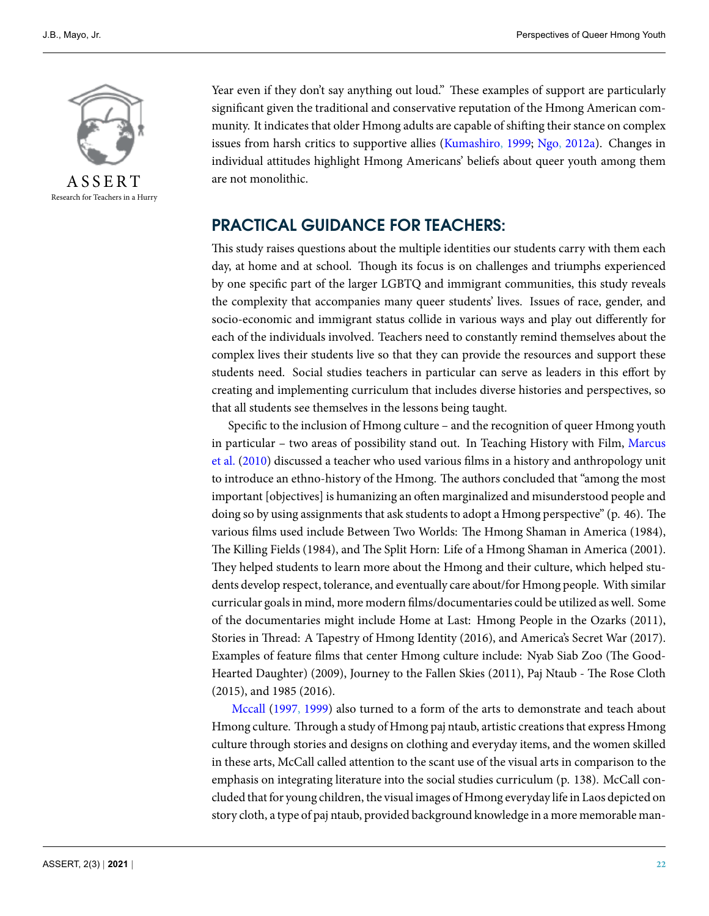

Research for Teachers in a Hurry

Year even if they don't say anything out loud." These examples of support are particularly significant given the traditional and conservative reputation of the Hmong American community. It indicates that older Hmong adults are capable of shifting their stance on complex issues from harsh critics to supportive allies([Kumashiro](#page-7-7), [1999;](#page-7-7) [Ngo,](#page-7-4) [2012a](#page-7-4)). Changes in individual attitudes highlight Hmong Americans' beliefs about queer youth among them are not monolithic.

# **PRACTICAL GUIDANCE FOR TEACHERS:**

This study raises questions about the multiple identities our students carry with them each day, at home and at school. Though its focus is on challenges and triumphs experienced by one specific part of the larger LGBTQ and immigrant communities, this study reveals the complexity that accompanies many queer students' lives. Issues of race, gender, and socio-economic and immigrant status collide in various ways and play out differently for each of the individuals involved. Teachers need to constantly remind themselves about the complex lives their students live so that they can provide the resources and support these students need. Social studies teachers in particular can serve as leaders in this effort by creating and implementing curriculum that includes diverse histories and perspectives, so that all students see themselves in the lessons being taught.

Specific to the inclusion of Hmong culture – and the recognition of queer Hmong youth in particular – two areas of possibility stand out. In Teaching History with Film, [Marcus](#page-7-8) [et al.](#page-7-8) ([2010\)](#page-7-8) discussed a teacher who used various films in a history and anthropology unit to introduce an ethno-history of the Hmong. The authors concluded that "among the most important [objectives] is humanizing an often marginalized and misunderstood people and doing so by using assignments that ask students to adopt a Hmong perspective" (p. 46). The various films used include Between Two Worlds: The Hmong Shaman in America (1984), The Killing Fields (1984), and The Split Horn: Life of a Hmong Shaman in America (2001). They helped students to learn more about the Hmong and their culture, which helped students develop respect, tolerance, and eventually care about/for Hmong people. With similar curricular goals in mind, more modern films/documentaries could be utilized as well. Some of the documentaries might include Home at Last: Hmong People in the Ozarks (2011), Stories in Thread: A Tapestry of Hmong Identity (2016), and America's Secret War (2017). Examples of feature films that center Hmong culture include: Nyab Siab Zoo (The Good-Hearted Daughter) (2009), Journey to the Fallen Skies (2011), Paj Ntaub - The Rose Cloth (2015), and 1985 (2016).

[Mccall](#page-7-9) [\(1997](#page-7-9), [1999\)](#page-7-10) also turned to a form of the arts to demonstrate and teach about Hmong culture. Through a study of Hmong paj ntaub, artistic creations that express Hmong culture through stories and designs on clothing and everyday items, and the women skilled in these arts, McCall called attention to the scant use of the visual arts in comparison to the emphasis on integrating literature into the social studies curriculum (p. 138). McCall concluded that for young children, the visual images of Hmong everyday life in Laos depicted on story cloth, a type of paj ntaub, provided background knowledge in a more memorable man-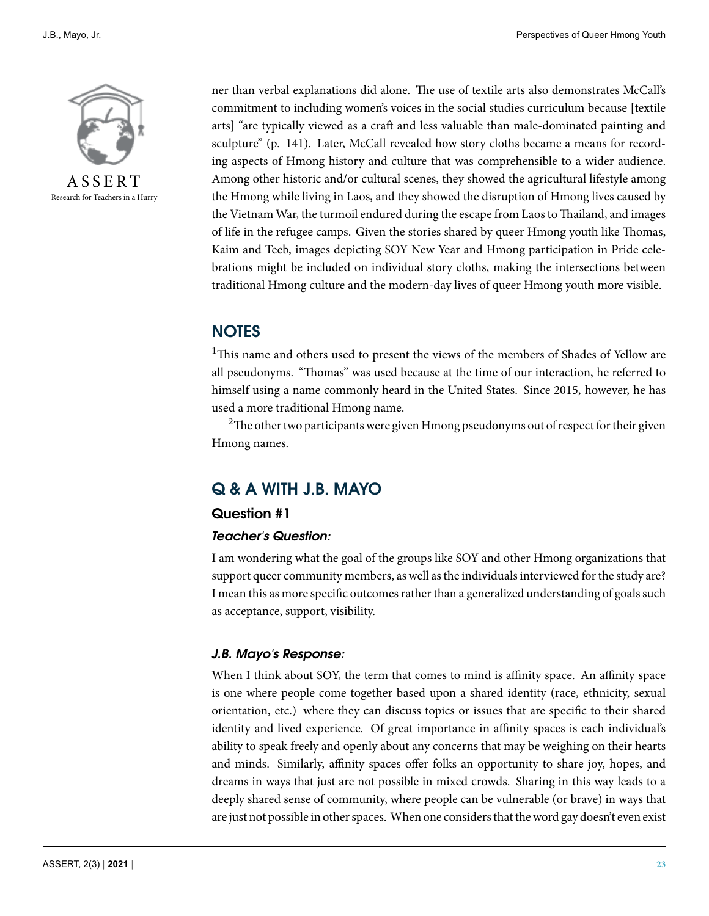

Research for Teachers in a Hurry

ner than verbal explanations did alone. The use of textile arts also demonstrates McCall's commitment to including women's voices in the social studies curriculum because [textile arts] "are typically viewed as a craft and less valuable than male-dominated painting and sculpture" (p. 141). Later, McCall revealed how story cloths became a means for recording aspects of Hmong history and culture that was comprehensible to a wider audience. Among other historic and/or cultural scenes, they showed the agricultural lifestyle among the Hmong while living in Laos, and they showed the disruption of Hmong lives caused by the Vietnam War, the turmoil endured during the escape from Laos to Thailand, and images of life in the refugee camps. Given the stories shared by queer Hmong youth like Thomas, Kaim and Teeb, images depicting SOY New Year and Hmong participation in Pride celebrations might be included on individual story cloths, making the intersections between traditional Hmong culture and the modern-day lives of queer Hmong youth more visible.

# **NOTES**

<sup>1</sup>This name and others used to present the views of the members of Shades of Yellow are all pseudonyms. "Thomas" was used because at the time of our interaction, he referred to himself using a name commonly heard in the United States. Since 2015, however, he has used a more traditional Hmong name.

 $2$ The other two participants were given Hmong pseudonyms out of respect for their given Hmong names.

# **Q & A WITH J.B. MAYO**

#### **Question #1**

#### *Teacher's Question:*

I am wondering what the goal of the groups like SOY and other Hmong organizations that support queer community members, as well as the individuals interviewed for the study are? I mean this as more specific outcomes rather than a generalized understanding of goals such as acceptance, support, visibility.

#### *J.B. Mayo's Response:*

When I think about SOY, the term that comes to mind is affinity space. An affinity space is one where people come together based upon a shared identity (race, ethnicity, sexual orientation, etc.) where they can discuss topics or issues that are specific to their shared identity and lived experience. Of great importance in affinity spaces is each individual's ability to speak freely and openly about any concerns that may be weighing on their hearts and minds. Similarly, affinity spaces offer folks an opportunity to share joy, hopes, and dreams in ways that just are not possible in mixed crowds. Sharing in this way leads to a deeply shared sense of community, where people can be vulnerable (or brave) in ways that are just not possible in other spaces. When one considers that the word gay doesn't even exist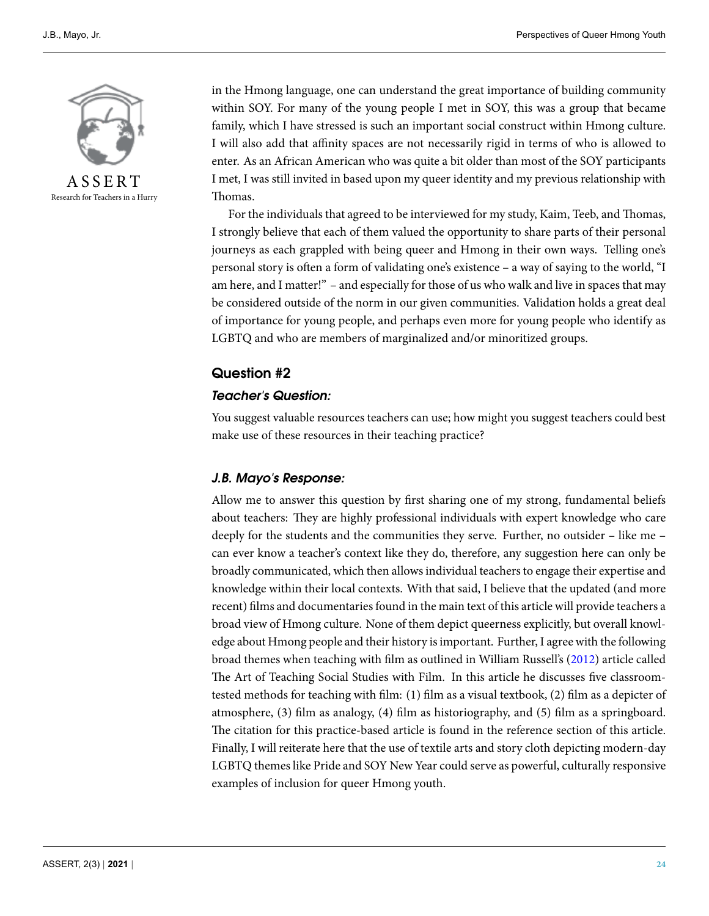

Research for Teachers in a Hurry

in the Hmong language, one can understand the great importance of building community within SOY. For many of the young people I met in SOY, this was a group that became family, which I have stressed is such an important social construct within Hmong culture. I will also add that affinity spaces are not necessarily rigid in terms of who is allowed to enter. As an African American who was quite a bit older than most of the SOY participants I met, I was still invited in based upon my queer identity and my previous relationship with Thomas.

For the individuals that agreed to be interviewed for my study, Kaim, Teeb, and Thomas, I strongly believe that each of them valued the opportunity to share parts of their personal journeys as each grappled with being queer and Hmong in their own ways. Telling one's personal story is often a form of validating one's existence – a way of saying to the world, "I am here, and I matter!" – and especially for those of us who walk and live in spaces that may be considered outside of the norm in our given communities. Validation holds a great deal of importance for young people, and perhaps even more for young people who identify as LGBTQ and who are members of marginalized and/or minoritized groups.

### **Question #2**

#### *Teacher's Question:*

You suggest valuable resources teachers can use; how might you suggest teachers could best make use of these resources in their teaching practice?

#### *J.B. Mayo's Response:*

Allow me to answer this question by first sharing one of my strong, fundamental beliefs about teachers: They are highly professional individuals with expert knowledge who care deeply for the students and the communities they serve. Further, no outsider – like me – can ever know a teacher's context like they do, therefore, any suggestion here can only be broadly communicated, which then allows individual teachers to engage their expertise and knowledge within their local contexts. With that said, I believe that the updated (and more recent) films and documentaries found in the main text of this article will provide teachers a broad view of Hmong culture. None of them depict queerness explicitly, but overall knowledge about Hmong people and their history is important. Further, I agree with the following broad themes when teaching with film as outlined in William Russell's [\(2012\)](#page-7-11) article called The Art of Teaching Social Studies with Film. In this article he discusses five classroomtested methods for teaching with film: (1) film as a visual textbook, (2) film as a depicter of atmosphere, (3) film as analogy, (4) film as historiography, and (5) film as a springboard. The citation for this practice-based article is found in the reference section of this article. Finally, I will reiterate here that the use of textile arts and story cloth depicting modern-day LGBTQ themes like Pride and SOY New Year could serve as powerful, culturally responsive examples of inclusion for queer Hmong youth.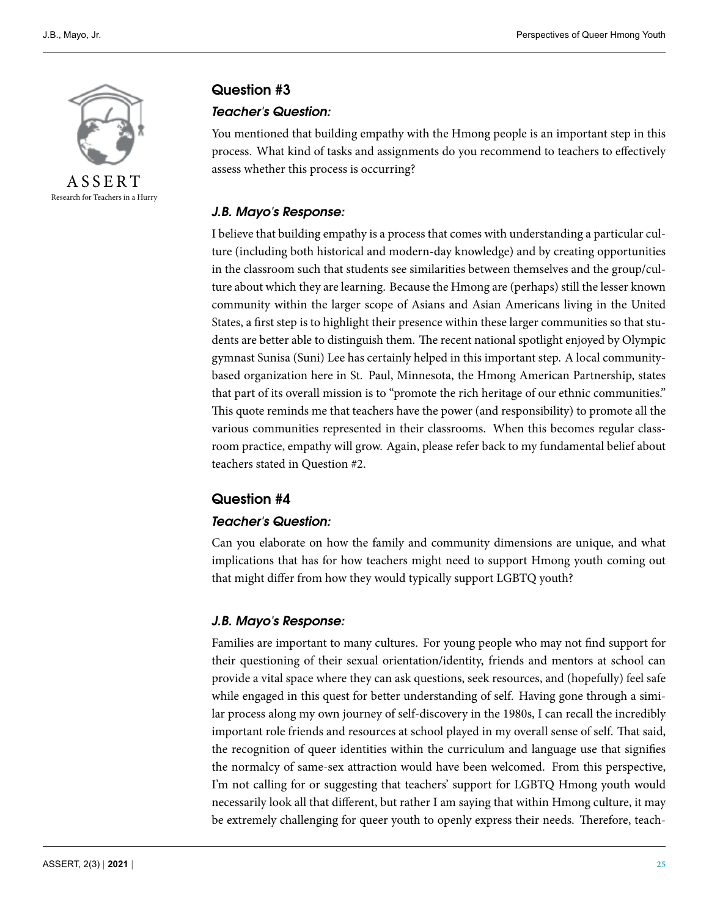

Research for Teachers in a Hurry

#### **Question #3**

#### *Teacher's Question:*

You mentioned that building empathy with the Hmong people is an important step in this process. What kind of tasks and assignments do you recommend to teachers to effectively assess whether this process is occurring?

#### *J.B. Mayo's Response:*

I believe that building empathy is a process that comes with understanding a particular culture (including both historical and modern-day knowledge) and by creating opportunities in the classroom such that students see similarities between themselves and the group/culture about which they are learning. Because the Hmong are (perhaps) still the lesser known community within the larger scope of Asians and Asian Americans living in the United States, a first step is to highlight their presence within these larger communities so that students are better able to distinguish them. The recent national spotlight enjoyed by Olympic gymnast Sunisa (Suni) Lee has certainly helped in this important step. A local communitybased organization here in St. Paul, Minnesota, the Hmong American Partnership, states that part of its overall mission is to "promote the rich heritage of our ethnic communities." This quote reminds me that teachers have the power (and responsibility) to promote all the various communities represented in their classrooms. When this becomes regular classroom practice, empathy will grow. Again, please refer back to my fundamental belief about teachers stated in Question #2.

#### **Question #4**

#### *Teacher's Question:*

Can you elaborate on how the family and community dimensions are unique, and what implications that has for how teachers might need to support Hmong youth coming out that might differ from how they would typically support LGBTQ youth?

#### *J.B. Mayo's Response:*

Families are important to many cultures. For young people who may not find support for their questioning of their sexual orientation/identity, friends and mentors at school can provide a vital space where they can ask questions, seek resources, and (hopefully) feel safe while engaged in this quest for better understanding of self. Having gone through a similar process along my own journey of self-discovery in the 1980s, I can recall the incredibly important role friends and resources at school played in my overall sense of self. That said, the recognition of queer identities within the curriculum and language use that signifies the normalcy of same-sex attraction would have been welcomed. From this perspective, I'm not calling for or suggesting that teachers' support for LGBTQ Hmong youth would necessarily look all that different, but rather I am saying that within Hmong culture, it may be extremely challenging for queer youth to openly express their needs. Therefore, teach-